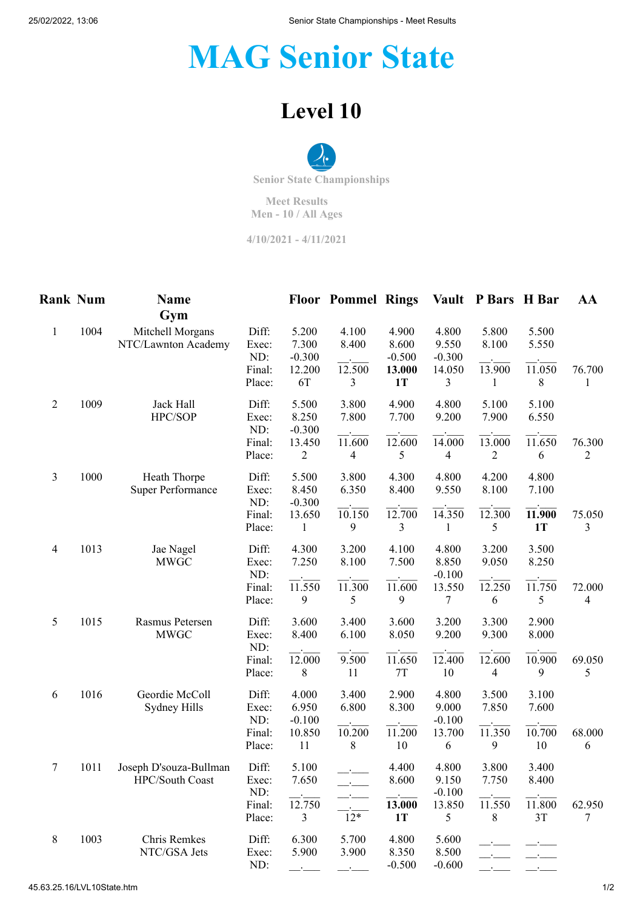## **MAG Senior State**

## **Level 10**



**Meet Results Men - 10 / All Ages**

**4/10/2021 - 4/11/2021**

| <b>Rank Num</b> |      | <b>Name</b><br>Gym                        |                                           |                                                        | <b>Floor Pommel Rings</b>                  |                                                   |                                           | Vault P Bars H Bar                         |                                       | AA          |
|-----------------|------|-------------------------------------------|-------------------------------------------|--------------------------------------------------------|--------------------------------------------|---------------------------------------------------|-------------------------------------------|--------------------------------------------|---------------------------------------|-------------|
| $\mathbf{1}$    | 1004 | Mitchell Morgans<br>NTC/Lawnton Academy   | Diff:<br>Exec:<br>ND:<br>Final:<br>Place: | 5.200<br>7.300<br>$-0.300$<br>12.200<br>6T             | 4.100<br>8.400<br>12.500<br>3              | 4.900<br>8.600<br>$-0.500$<br>13.000<br><b>1T</b> | 4.800<br>9.550<br>$-0.300$<br>14.050<br>3 | 5.800<br>8.100<br>13.900<br>1              | 5.500<br>5.550<br>11.050<br>8         | 76.700<br>1 |
| $\overline{2}$  | 1009 | Jack Hall<br>HPC/SOP                      | Diff:<br>Exec:<br>ND:<br>Final:<br>Place: | 5.500<br>8.250<br>$-0.300$<br>13.450<br>$\overline{c}$ | 3.800<br>7.800<br>11.600<br>$\overline{4}$ | 4.900<br>7.700<br>12.600<br>5                     | 4.800<br>9.200<br>14.000<br>4             | 5.100<br>7.900<br>13.000<br>$\overline{c}$ | 5.100<br>6.550<br>11.650<br>6         | 76.300<br>2 |
| 3               | 1000 | Heath Thorpe<br><b>Super Performance</b>  | Diff:<br>Exec:<br>ND:<br>Final:<br>Place: | 5.500<br>8.450<br>$-0.300$<br>13.650<br>1              | 3.800<br>6.350<br>10.150<br>9              | 4.300<br>8.400<br>12.700<br>3                     | 4.800<br>9.550<br>14.350<br>1             | 4.200<br>8.100<br>12.300<br>5              | 4.800<br>7.100<br>11.900<br><b>1T</b> | 75.050<br>3 |
| $\overline{4}$  | 1013 | Jae Nagel<br><b>MWGC</b>                  | Diff:<br>Exec:<br>ND:<br>Final:<br>Place: | 4.300<br>7.250<br>11.550<br>9                          | 3.200<br>8.100<br>11.300<br>5              | 4.100<br>7.500<br>11.600<br>9                     | 4.800<br>8.850<br>$-0.100$<br>13.550<br>7 | 3.200<br>9.050<br>12.250<br>6              | 3.500<br>8.250<br>11.750<br>5         | 72.000<br>4 |
| 5               | 1015 | Rasmus Petersen<br><b>MWGC</b>            | Diff:<br>Exec:<br>ND:<br>Final:<br>Place: | 3.600<br>8.400<br>12.000<br>8                          | 3.400<br>6.100<br>9.500<br>11              | 3.600<br>8.050<br>11.650<br>7T                    | 3.200<br>9.200<br>12.400<br>10            | 3.300<br>9.300<br>12.600<br>4              | 2.900<br>8.000<br>10.900<br>9         | 69.050<br>5 |
| 6               | 1016 | Geordie McColl<br>Sydney Hills            | Diff:<br>Exec:<br>ND:<br>Final:<br>Place: | 4.000<br>6.950<br>$-0.100$<br>10.850<br>11             | 3.400<br>6.800<br>10.200<br>8              | 2.900<br>8.300<br>11.200<br>10                    | 4.800<br>9.000<br>$-0.100$<br>13.700<br>6 | 3.500<br>7.850<br>11.350<br>9              | 3.100<br>7.600<br>10.700<br>10        | 68.000<br>6 |
| 7               | 1011 | Joseph D'souza-Bullman<br>HPC/South Coast | Diff:<br>Exec:<br>ND:<br>Final:<br>Place: | 5.100<br>7.650<br>12.750<br>3                          | $12*$                                      | 4.400<br>8.600<br>13.000<br><b>1T</b>             | 4.800<br>9.150<br>$-0.100$<br>13.850<br>5 | 3.800<br>7.750<br>11.550<br>8              | 3.400<br>8.400<br>11.800<br>3T        | 62.950<br>7 |
| 8               | 1003 | Chris Remkes<br>NTC/GSA Jets              | Diff:<br>Exec:<br>ND:                     | 6.300<br>5.900                                         | 5.700<br>3.900                             | 4.800<br>8.350<br>$-0.500$                        | 5.600<br>8.500<br>$-0.600$                |                                            |                                       |             |